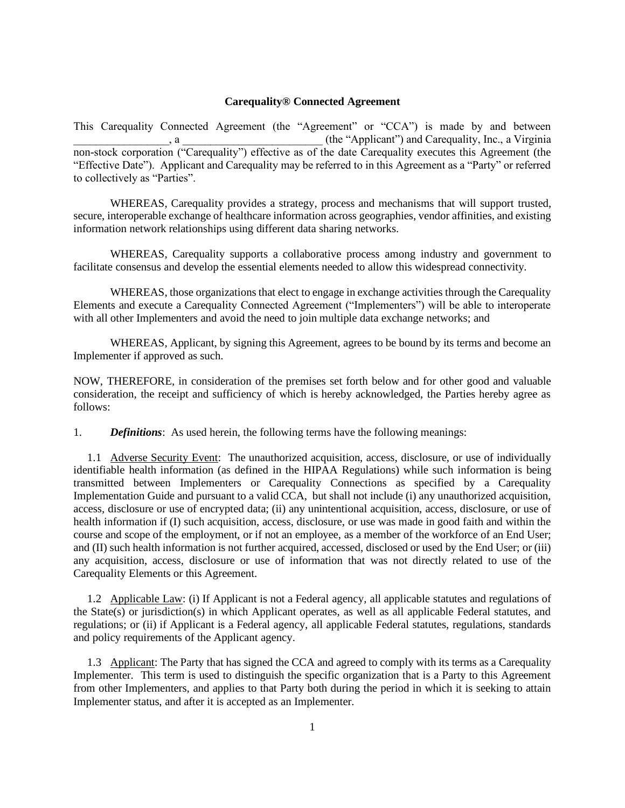## **Carequality® Connected Agreement**

This Carequality Connected Agreement (the "Agreement" or "CCA") is made by and between , a metallicity and Carequality, Inc., a Virginia non-stock corporation ("Carequality") effective as of the date Carequality executes this Agreement (the "Effective Date"). Applicant and Carequality may be referred to in this Agreement as a "Party" or referred to collectively as "Parties".

WHEREAS, Carequality provides a strategy, process and mechanisms that will support trusted, secure, interoperable exchange of healthcare information across geographies, vendor affinities, and existing information network relationships using different data sharing networks.

WHEREAS, Carequality supports a collaborative process among industry and government to facilitate consensus and develop the essential elements needed to allow this widespread connectivity.

WHEREAS, those organizations that elect to engage in exchange activities through the Carequality Elements and execute a Carequality Connected Agreement ("Implementers") will be able to interoperate with all other Implementers and avoid the need to join multiple data exchange networks; and

WHEREAS, Applicant, by signing this Agreement, agrees to be bound by its terms and become an Implementer if approved as such.

NOW, THEREFORE, in consideration of the premises set forth below and for other good and valuable consideration, the receipt and sufficiency of which is hereby acknowledged, the Parties hereby agree as follows:

1. *Definitions*: As used herein, the following terms have the following meanings:

1.1 Adverse Security Event: The unauthorized acquisition, access, disclosure, or use of individually identifiable health information (as defined in the HIPAA Regulations) while such information is being transmitted between Implementers or Carequality Connections as specified by a Carequality Implementation Guide and pursuant to a valid CCA, but shall not include (i) any unauthorized acquisition, access, disclosure or use of encrypted data; (ii) any unintentional acquisition, access, disclosure, or use of health information if (I) such acquisition, access, disclosure, or use was made in good faith and within the course and scope of the employment, or if not an employee, as a member of the workforce of an End User; and (II) such health information is not further acquired, accessed, disclosed or used by the End User; or (iii) any acquisition, access, disclosure or use of information that was not directly related to use of the Carequality Elements or this Agreement.

1.2 Applicable Law: (i) If Applicant is not a Federal agency, all applicable statutes and regulations of the State(s) or jurisdiction(s) in which Applicant operates, as well as all applicable Federal statutes, and regulations; or (ii) if Applicant is a Federal agency, all applicable Federal statutes, regulations, standards and policy requirements of the Applicant agency.

1.3 Applicant: The Party that has signed the CCA and agreed to comply with its terms as a Carequality Implementer. This term is used to distinguish the specific organization that is a Party to this Agreement from other Implementers, and applies to that Party both during the period in which it is seeking to attain Implementer status, and after it is accepted as an Implementer.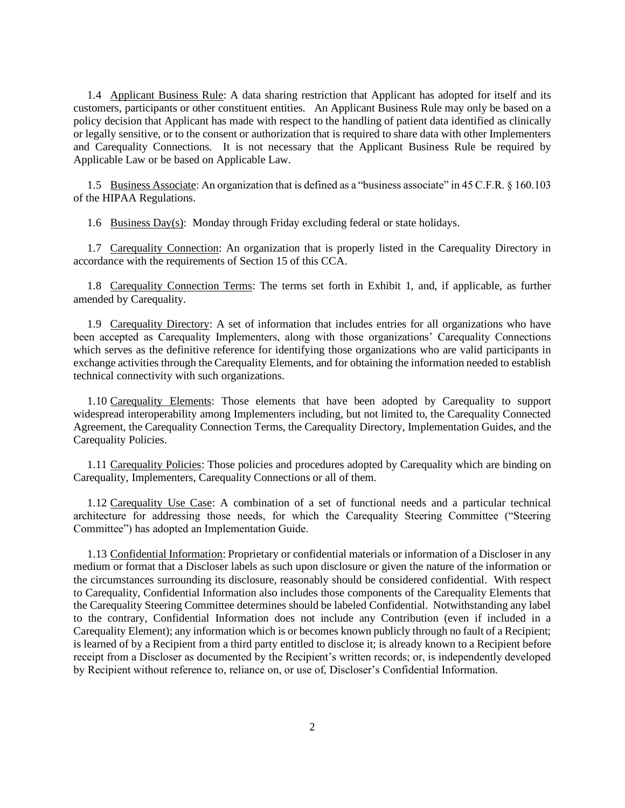1.4 Applicant Business Rule: A data sharing restriction that Applicant has adopted for itself and its customers, participants or other constituent entities. An Applicant Business Rule may only be based on a policy decision that Applicant has made with respect to the handling of patient data identified as clinically or legally sensitive, or to the consent or authorization that is required to share data with other Implementers and Carequality Connections. It is not necessary that the Applicant Business Rule be required by Applicable Law or be based on Applicable Law.

1.5 Business Associate: An organization that is defined as a "business associate" in 45 C.F.R. § 160.103 of the HIPAA Regulations.

1.6 Business Day(s): Monday through Friday excluding federal or state holidays.

1.7 Carequality Connection: An organization that is properly listed in the Carequality Directory in accordance with the requirements of Section 15 of this CCA.

1.8 Carequality Connection Terms: The terms set forth in Exhibit 1, and, if applicable, as further amended by Carequality.

1.9 Carequality Directory: A set of information that includes entries for all organizations who have been accepted as Carequality Implementers, along with those organizations' Carequality Connections which serves as the definitive reference for identifying those organizations who are valid participants in exchange activities through the Carequality Elements, and for obtaining the information needed to establish technical connectivity with such organizations.

1.10 Carequality Elements: Those elements that have been adopted by Carequality to support widespread interoperability among Implementers including, but not limited to, the Carequality Connected Agreement, the Carequality Connection Terms, the Carequality Directory, Implementation Guides, and the Carequality Policies.

1.11 Carequality Policies: Those policies and procedures adopted by Carequality which are binding on Carequality, Implementers, Carequality Connections or all of them.

1.12 Carequality Use Case: A combination of a set of functional needs and a particular technical architecture for addressing those needs, for which the Carequality Steering Committee ("Steering Committee") has adopted an Implementation Guide.

1.13 Confidential Information: Proprietary or confidential materials or information of a Discloser in any medium or format that a Discloser labels as such upon disclosure or given the nature of the information or the circumstances surrounding its disclosure, reasonably should be considered confidential. With respect to Carequality, Confidential Information also includes those components of the Carequality Elements that the Carequality Steering Committee determines should be labeled Confidential. Notwithstanding any label to the contrary, Confidential Information does not include any Contribution (even if included in a Carequality Element); any information which is or becomes known publicly through no fault of a Recipient; is learned of by a Recipient from a third party entitled to disclose it; is already known to a Recipient before receipt from a Discloser as documented by the Recipient's written records; or, is independently developed by Recipient without reference to, reliance on, or use of, Discloser's Confidential Information.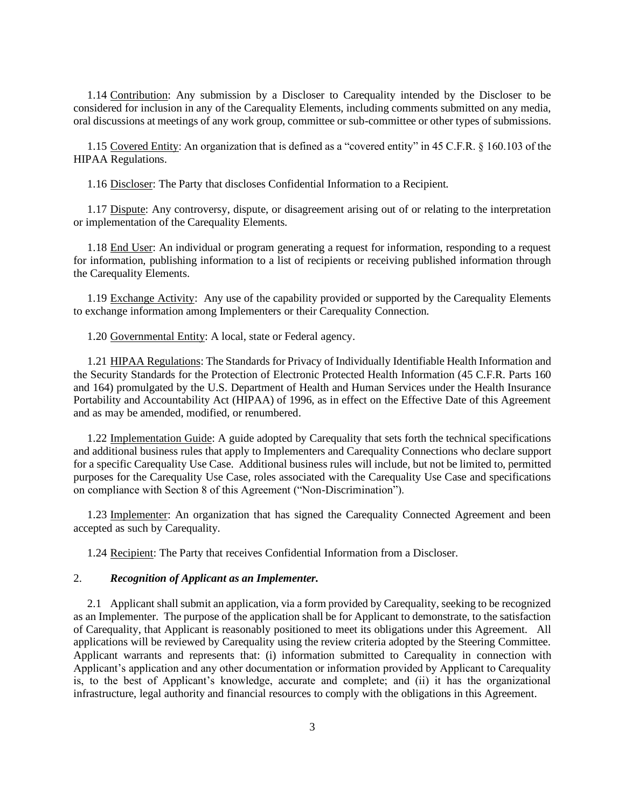1.14 Contribution: Any submission by a Discloser to Carequality intended by the Discloser to be considered for inclusion in any of the Carequality Elements, including comments submitted on any media, oral discussions at meetings of any work group, committee or sub-committee or other types of submissions.

1.15 Covered Entity: An organization that is defined as a "covered entity" in 45 C.F.R. § 160.103 of the HIPAA Regulations.

1.16 Discloser: The Party that discloses Confidential Information to a Recipient.

1.17 Dispute: Any controversy, dispute, or disagreement arising out of or relating to the interpretation or implementation of the Carequality Elements.

1.18 End User: An individual or program generating a request for information, responding to a request for information, publishing information to a list of recipients or receiving published information through the Carequality Elements.

1.19 Exchange Activity: Any use of the capability provided or supported by the Carequality Elements to exchange information among Implementers or their Carequality Connection.

1.20 Governmental Entity: A local, state or Federal agency.

1.21 HIPAA Regulations: The Standards for Privacy of Individually Identifiable Health Information and the Security Standards for the Protection of Electronic Protected Health Information (45 C.F.R. Parts 160 and 164) promulgated by the U.S. Department of Health and Human Services under the Health Insurance Portability and Accountability Act (HIPAA) of 1996, as in effect on the Effective Date of this Agreement and as may be amended, modified, or renumbered.

1.22 Implementation Guide: A guide adopted by Carequality that sets forth the technical specifications and additional business rules that apply to Implementers and Carequality Connections who declare support for a specific Carequality Use Case. Additional business rules will include, but not be limited to, permitted purposes for the Carequality Use Case, roles associated with the Carequality Use Case and specifications on compliance with Section 8 of this Agreement ("Non-Discrimination").

1.23 Implementer: An organization that has signed the Carequality Connected Agreement and been accepted as such by Carequality.

1.24 Recipient: The Party that receives Confidential Information from a Discloser.

# 2. *Recognition of Applicant as an Implementer.*

2.1 Applicant shall submit an application, via a form provided by Carequality, seeking to be recognized as an Implementer. The purpose of the application shall be for Applicant to demonstrate, to the satisfaction of Carequality, that Applicant is reasonably positioned to meet its obligations under this Agreement. All applications will be reviewed by Carequality using the review criteria adopted by the Steering Committee. Applicant warrants and represents that: (i) information submitted to Carequality in connection with Applicant's application and any other documentation or information provided by Applicant to Carequality is, to the best of Applicant's knowledge, accurate and complete; and (ii) it has the organizational infrastructure, legal authority and financial resources to comply with the obligations in this Agreement.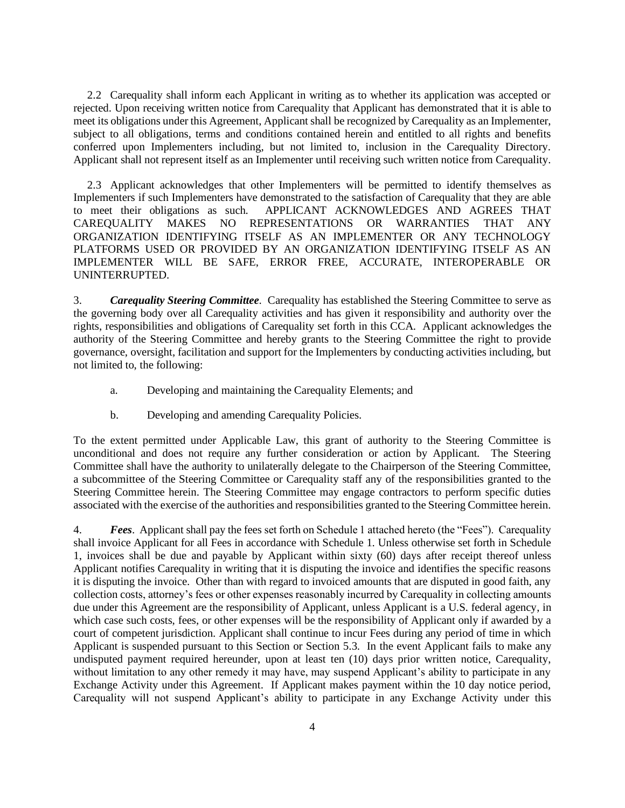2.2 Carequality shall inform each Applicant in writing as to whether its application was accepted or rejected. Upon receiving written notice from Carequality that Applicant has demonstrated that it is able to meet its obligations under this Agreement, Applicant shall be recognized by Carequality as an Implementer, subject to all obligations, terms and conditions contained herein and entitled to all rights and benefits conferred upon Implementers including, but not limited to, inclusion in the Carequality Directory. Applicant shall not represent itself as an Implementer until receiving such written notice from Carequality.

2.3 Applicant acknowledges that other Implementers will be permitted to identify themselves as Implementers if such Implementers have demonstrated to the satisfaction of Carequality that they are able to meet their obligations as such. APPLICANT ACKNOWLEDGES AND AGREES THAT CAREQUALITY MAKES NO REPRESENTATIONS OR WARRANTIES THAT ANY ORGANIZATION IDENTIFYING ITSELF AS AN IMPLEMENTER OR ANY TECHNOLOGY PLATFORMS USED OR PROVIDED BY AN ORGANIZATION IDENTIFYING ITSELF AS AN IMPLEMENTER WILL BE SAFE, ERROR FREE, ACCURATE, INTEROPERABLE OR UNINTERRUPTED.

3. *Carequality Steering Committee*. Carequality has established the Steering Committee to serve as the governing body over all Carequality activities and has given it responsibility and authority over the rights, responsibilities and obligations of Carequality set forth in this CCA. Applicant acknowledges the authority of the Steering Committee and hereby grants to the Steering Committee the right to provide governance, oversight, facilitation and support for the Implementers by conducting activities including, but not limited to, the following:

- a. Developing and maintaining the Carequality Elements; and
- b. Developing and amending Carequality Policies.

To the extent permitted under Applicable Law, this grant of authority to the Steering Committee is unconditional and does not require any further consideration or action by Applicant. The Steering Committee shall have the authority to unilaterally delegate to the Chairperson of the Steering Committee, a subcommittee of the Steering Committee or Carequality staff any of the responsibilities granted to the Steering Committee herein. The Steering Committee may engage contractors to perform specific duties associated with the exercise of the authorities and responsibilities granted to the Steering Committee herein.

4. *Fees*. Applicant shall pay the fees set forth on Schedule 1 attached hereto (the "Fees"). Carequality shall invoice Applicant for all Fees in accordance with Schedule 1. Unless otherwise set forth in Schedule 1, invoices shall be due and payable by Applicant within sixty (60) days after receipt thereof unless Applicant notifies Carequality in writing that it is disputing the invoice and identifies the specific reasons it is disputing the invoice. Other than with regard to invoiced amounts that are disputed in good faith, any collection costs, attorney's fees or other expenses reasonably incurred by Carequality in collecting amounts due under this Agreement are the responsibility of Applicant, unless Applicant is a U.S. federal agency, in which case such costs, fees, or other expenses will be the responsibility of Applicant only if awarded by a court of competent jurisdiction. Applicant shall continue to incur Fees during any period of time in which Applicant is suspended pursuant to this Section or Section 5.3. In the event Applicant fails to make any undisputed payment required hereunder, upon at least ten (10) days prior written notice, Carequality, without limitation to any other remedy it may have, may suspend Applicant's ability to participate in any Exchange Activity under this Agreement. If Applicant makes payment within the 10 day notice period, Carequality will not suspend Applicant's ability to participate in any Exchange Activity under this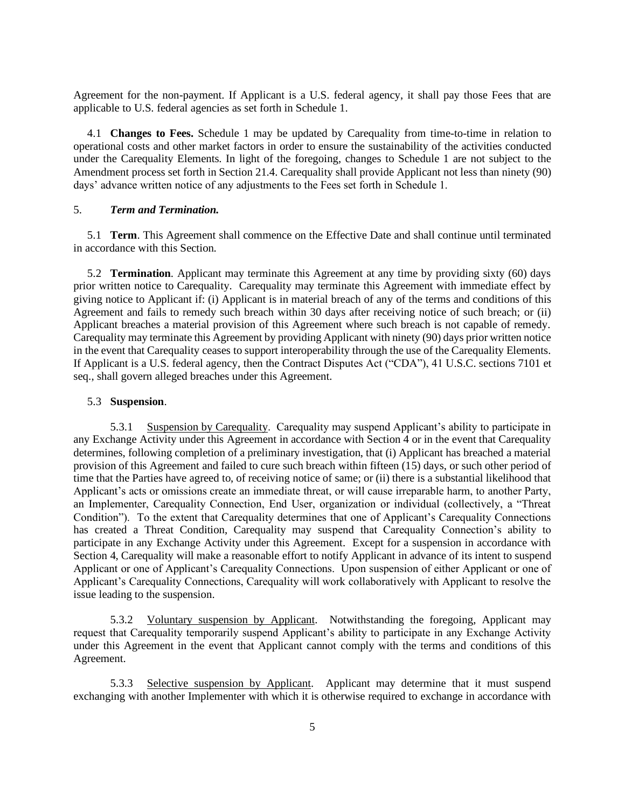Agreement for the non-payment. If Applicant is a U.S. federal agency, it shall pay those Fees that are applicable to U.S. federal agencies as set forth in Schedule 1.

4.1 **Changes to Fees.** Schedule 1 may be updated by Carequality from time-to-time in relation to operational costs and other market factors in order to ensure the sustainability of the activities conducted under the Carequality Elements. In light of the foregoing, changes to Schedule 1 are not subject to the Amendment process set forth in Section 21.4. Carequality shall provide Applicant not less than ninety (90) days' advance written notice of any adjustments to the Fees set forth in Schedule 1.

## 5. *Term and Termination.*

5.1 **Term**. This Agreement shall commence on the Effective Date and shall continue until terminated in accordance with this Section.

5.2 **Termination**. Applicant may terminate this Agreement at any time by providing sixty (60) days prior written notice to Carequality. Carequality may terminate this Agreement with immediate effect by giving notice to Applicant if: (i) Applicant is in material breach of any of the terms and conditions of this Agreement and fails to remedy such breach within 30 days after receiving notice of such breach; or (ii) Applicant breaches a material provision of this Agreement where such breach is not capable of remedy. Carequality may terminate this Agreement by providing Applicant with ninety (90) days prior written notice in the event that Carequality ceases to support interoperability through the use of the Carequality Elements. If Applicant is a U.S. federal agency, then the Contract Disputes Act ("CDA"), 41 U.S.C. sections 7101 et seq., shall govern alleged breaches under this Agreement.

#### 5.3 **Suspension**.

5.3.1 Suspension by Carequality. Carequality may suspend Applicant's ability to participate in any Exchange Activity under this Agreement in accordance with Section 4 or in the event that Carequality determines, following completion of a preliminary investigation, that (i) Applicant has breached a material provision of this Agreement and failed to cure such breach within fifteen (15) days, or such other period of time that the Parties have agreed to, of receiving notice of same; or (ii) there is a substantial likelihood that Applicant's acts or omissions create an immediate threat, or will cause irreparable harm, to another Party, an Implementer, Carequality Connection, End User, organization or individual (collectively, a "Threat Condition"). To the extent that Carequality determines that one of Applicant's Carequality Connections has created a Threat Condition, Carequality may suspend that Carequality Connection's ability to participate in any Exchange Activity under this Agreement. Except for a suspension in accordance with Section 4, Carequality will make a reasonable effort to notify Applicant in advance of its intent to suspend Applicant or one of Applicant's Carequality Connections. Upon suspension of either Applicant or one of Applicant's Carequality Connections, Carequality will work collaboratively with Applicant to resolve the issue leading to the suspension.

5.3.2 Voluntary suspension by Applicant. Notwithstanding the foregoing, Applicant may request that Carequality temporarily suspend Applicant's ability to participate in any Exchange Activity under this Agreement in the event that Applicant cannot comply with the terms and conditions of this Agreement.

5.3.3 Selective suspension by Applicant. Applicant may determine that it must suspend exchanging with another Implementer with which it is otherwise required to exchange in accordance with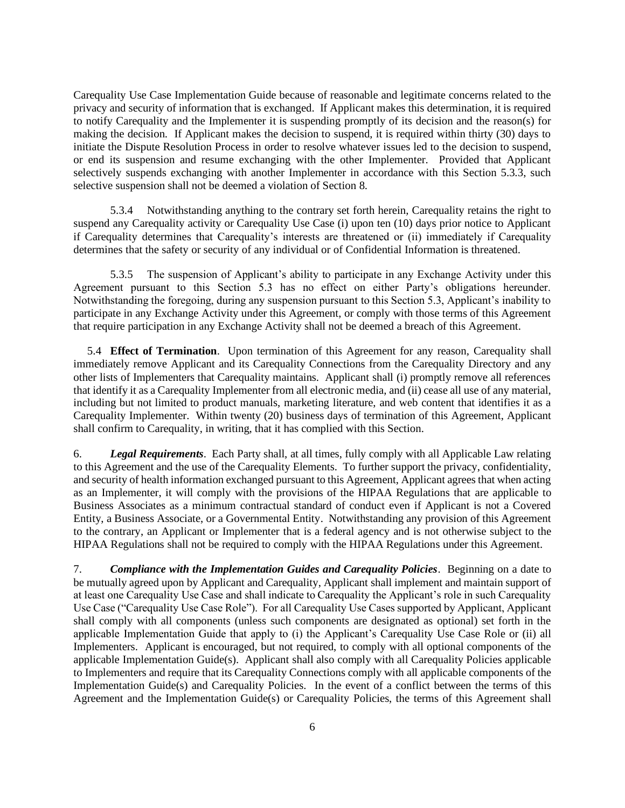Carequality Use Case Implementation Guide because of reasonable and legitimate concerns related to the privacy and security of information that is exchanged. If Applicant makes this determination, it is required to notify Carequality and the Implementer it is suspending promptly of its decision and the reason(s) for making the decision. If Applicant makes the decision to suspend, it is required within thirty (30) days to initiate the Dispute Resolution Process in order to resolve whatever issues led to the decision to suspend, or end its suspension and resume exchanging with the other Implementer. Provided that Applicant selectively suspends exchanging with another Implementer in accordance with this Section 5.3.3, such selective suspension shall not be deemed a violation of Section 8.

5.3.4 Notwithstanding anything to the contrary set forth herein, Carequality retains the right to suspend any Carequality activity or Carequality Use Case (i) upon ten (10) days prior notice to Applicant if Carequality determines that Carequality's interests are threatened or (ii) immediately if Carequality determines that the safety or security of any individual or of Confidential Information is threatened.

5.3.5 The suspension of Applicant's ability to participate in any Exchange Activity under this Agreement pursuant to this Section 5.3 has no effect on either Party's obligations hereunder. Notwithstanding the foregoing, during any suspension pursuant to this Section 5.3, Applicant's inability to participate in any Exchange Activity under this Agreement, or comply with those terms of this Agreement that require participation in any Exchange Activity shall not be deemed a breach of this Agreement.

5.4 **Effect of Termination**. Upon termination of this Agreement for any reason, Carequality shall immediately remove Applicant and its Carequality Connections from the Carequality Directory and any other lists of Implementers that Carequality maintains. Applicant shall (i) promptly remove all references that identify it as a Carequality Implementer from all electronic media, and (ii) cease all use of any material, including but not limited to product manuals, marketing literature, and web content that identifies it as a Carequality Implementer. Within twenty (20) business days of termination of this Agreement, Applicant shall confirm to Carequality, in writing, that it has complied with this Section.

6. *Legal Requirements*. Each Party shall, at all times, fully comply with all Applicable Law relating to this Agreement and the use of the Carequality Elements. To further support the privacy, confidentiality, and security of health information exchanged pursuant to this Agreement, Applicant agrees that when acting as an Implementer, it will comply with the provisions of the HIPAA Regulations that are applicable to Business Associates as a minimum contractual standard of conduct even if Applicant is not a Covered Entity, a Business Associate, or a Governmental Entity. Notwithstanding any provision of this Agreement to the contrary, an Applicant or Implementer that is a federal agency and is not otherwise subject to the HIPAA Regulations shall not be required to comply with the HIPAA Regulations under this Agreement.

7. *Compliance with the Implementation Guides and Carequality Policies*. Beginning on a date to be mutually agreed upon by Applicant and Carequality, Applicant shall implement and maintain support of at least one Carequality Use Case and shall indicate to Carequality the Applicant's role in such Carequality Use Case ("Carequality Use Case Role"). For all Carequality Use Cases supported by Applicant, Applicant shall comply with all components (unless such components are designated as optional) set forth in the applicable Implementation Guide that apply to (i) the Applicant's Carequality Use Case Role or (ii) all Implementers. Applicant is encouraged, but not required, to comply with all optional components of the applicable Implementation Guide(s). Applicant shall also comply with all Carequality Policies applicable to Implementers and require that its Carequality Connections comply with all applicable components of the Implementation Guide(s) and Carequality Policies. In the event of a conflict between the terms of this Agreement and the Implementation Guide(s) or Carequality Policies, the terms of this Agreement shall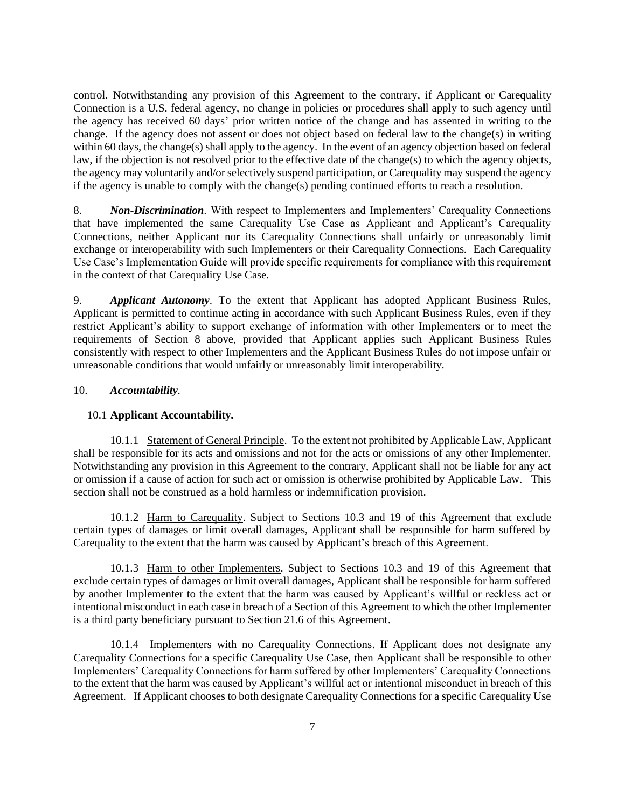control. Notwithstanding any provision of this Agreement to the contrary, if Applicant or Carequality Connection is a U.S. federal agency, no change in policies or procedures shall apply to such agency until the agency has received 60 days' prior written notice of the change and has assented in writing to the change. If the agency does not assent or does not object based on federal law to the change(s) in writing within 60 days, the change(s) shall apply to the agency. In the event of an agency objection based on federal law, if the objection is not resolved prior to the effective date of the change(s) to which the agency objects, the agency may voluntarily and/or selectively suspend participation, or Carequality may suspend the agency if the agency is unable to comply with the change(s) pending continued efforts to reach a resolution.

8. *Non-Discrimination*. With respect to Implementers and Implementers' Carequality Connections that have implemented the same Carequality Use Case as Applicant and Applicant's Carequality Connections, neither Applicant nor its Carequality Connections shall unfairly or unreasonably limit exchange or interoperability with such Implementers or their Carequality Connections. Each Carequality Use Case's Implementation Guide will provide specific requirements for compliance with this requirement in the context of that Carequality Use Case.

9. *Applicant Autonomy*. To the extent that Applicant has adopted Applicant Business Rules, Applicant is permitted to continue acting in accordance with such Applicant Business Rules, even if they restrict Applicant's ability to support exchange of information with other Implementers or to meet the requirements of Section 8 above, provided that Applicant applies such Applicant Business Rules consistently with respect to other Implementers and the Applicant Business Rules do not impose unfair or unreasonable conditions that would unfairly or unreasonably limit interoperability.

# 10. *Accountability*.

# 10.1 **Applicant Accountability.**

10.1.1 Statement of General Principle. To the extent not prohibited by Applicable Law, Applicant shall be responsible for its acts and omissions and not for the acts or omissions of any other Implementer. Notwithstanding any provision in this Agreement to the contrary, Applicant shall not be liable for any act or omission if a cause of action for such act or omission is otherwise prohibited by Applicable Law. This section shall not be construed as a hold harmless or indemnification provision.

10.1.2 Harm to Carequality. Subject to Sections 10.3 and 19 of this Agreement that exclude certain types of damages or limit overall damages, Applicant shall be responsible for harm suffered by Carequality to the extent that the harm was caused by Applicant's breach of this Agreement.

10.1.3 Harm to other Implementers. Subject to Sections 10.3 and 19 of this Agreement that exclude certain types of damages or limit overall damages, Applicant shall be responsible for harm suffered by another Implementer to the extent that the harm was caused by Applicant's willful or reckless act or intentional misconduct in each case in breach of a Section of this Agreement to which the other Implementer is a third party beneficiary pursuant to Section 21.6 of this Agreement.

10.1.4 Implementers with no Carequality Connections. If Applicant does not designate any Carequality Connections for a specific Carequality Use Case, then Applicant shall be responsible to other Implementers' Carequality Connections for harm suffered by other Implementers' Carequality Connections to the extent that the harm was caused by Applicant's willful act or intentional misconduct in breach of this Agreement. If Applicant chooses to both designate Carequality Connections for a specific Carequality Use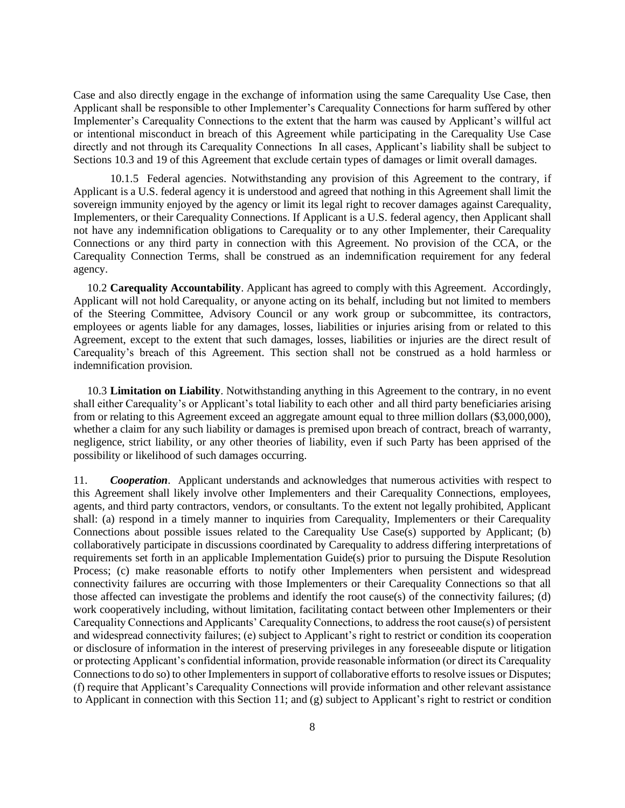Case and also directly engage in the exchange of information using the same Carequality Use Case, then Applicant shall be responsible to other Implementer's Carequality Connections for harm suffered by other Implementer's Carequality Connections to the extent that the harm was caused by Applicant's willful act or intentional misconduct in breach of this Agreement while participating in the Carequality Use Case directly and not through its Carequality Connections In all cases, Applicant's liability shall be subject to Sections 10.3 and 19 of this Agreement that exclude certain types of damages or limit overall damages.

10.1.5 Federal agencies. Notwithstanding any provision of this Agreement to the contrary, if Applicant is a U.S. federal agency it is understood and agreed that nothing in this Agreement shall limit the sovereign immunity enjoyed by the agency or limit its legal right to recover damages against Carequality, Implementers, or their Carequality Connections. If Applicant is a U.S. federal agency, then Applicant shall not have any indemnification obligations to Carequality or to any other Implementer, their Carequality Connections or any third party in connection with this Agreement. No provision of the CCA, or the Carequality Connection Terms, shall be construed as an indemnification requirement for any federal agency.

10.2 **Carequality Accountability**. Applicant has agreed to comply with this Agreement. Accordingly, Applicant will not hold Carequality, or anyone acting on its behalf, including but not limited to members of the Steering Committee, Advisory Council or any work group or subcommittee, its contractors, employees or agents liable for any damages, losses, liabilities or injuries arising from or related to this Agreement, except to the extent that such damages, losses, liabilities or injuries are the direct result of Carequality's breach of this Agreement. This section shall not be construed as a hold harmless or indemnification provision.

10.3 **Limitation on Liability**. Notwithstanding anything in this Agreement to the contrary, in no event shall either Carequality's or Applicant's total liability to each other and all third party beneficiaries arising from or relating to this Agreement exceed an aggregate amount equal to three million dollars (\$3,000,000), whether a claim for any such liability or damages is premised upon breach of contract, breach of warranty, negligence, strict liability, or any other theories of liability, even if such Party has been apprised of the possibility or likelihood of such damages occurring.

11. *Cooperation*. Applicant understands and acknowledges that numerous activities with respect to this Agreement shall likely involve other Implementers and their Carequality Connections, employees, agents, and third party contractors, vendors, or consultants. To the extent not legally prohibited, Applicant shall: (a) respond in a timely manner to inquiries from Carequality, Implementers or their Carequality Connections about possible issues related to the Carequality Use Case(s) supported by Applicant; (b) collaboratively participate in discussions coordinated by Carequality to address differing interpretations of requirements set forth in an applicable Implementation Guide(s) prior to pursuing the Dispute Resolution Process; (c) make reasonable efforts to notify other Implementers when persistent and widespread connectivity failures are occurring with those Implementers or their Carequality Connections so that all those affected can investigate the problems and identify the root cause(s) of the connectivity failures; (d) work cooperatively including, without limitation, facilitating contact between other Implementers or their Carequality Connections and Applicants' Carequality Connections, to address the root cause(s) of persistent and widespread connectivity failures; (e) subject to Applicant's right to restrict or condition its cooperation or disclosure of information in the interest of preserving privileges in any foreseeable dispute or litigation or protecting Applicant's confidential information, provide reasonable information (or direct its Carequality Connections to do so) to other Implementers in support of collaborative efforts to resolve issues or Disputes; (f) require that Applicant's Carequality Connections will provide information and other relevant assistance to Applicant in connection with this Section 11; and (g) subject to Applicant's right to restrict or condition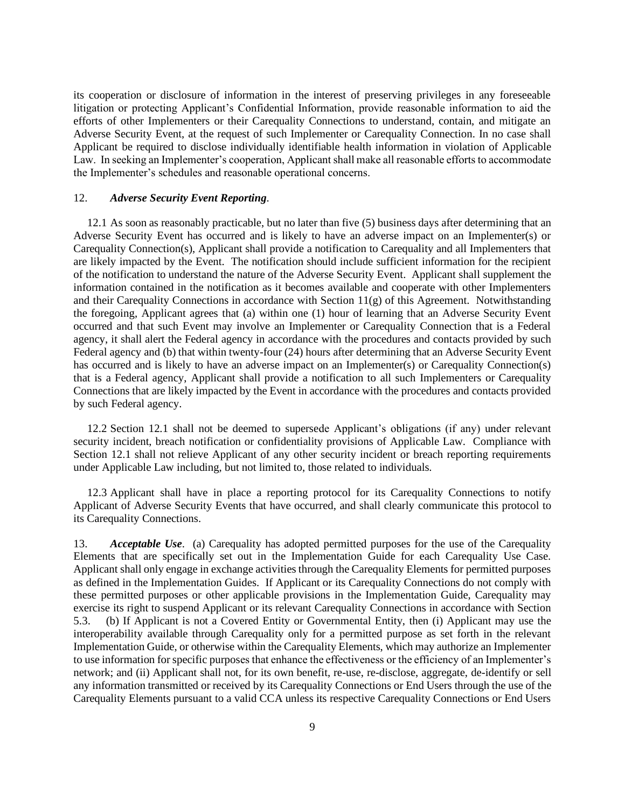its cooperation or disclosure of information in the interest of preserving privileges in any foreseeable litigation or protecting Applicant's Confidential Information, provide reasonable information to aid the efforts of other Implementers or their Carequality Connections to understand, contain, and mitigate an Adverse Security Event, at the request of such Implementer or Carequality Connection. In no case shall Applicant be required to disclose individually identifiable health information in violation of Applicable Law. In seeking an Implementer's cooperation, Applicant shall make all reasonable efforts to accommodate the Implementer's schedules and reasonable operational concerns.

### 12. *Adverse Security Event Reporting*.

12.1 As soon as reasonably practicable, but no later than five (5) business days after determining that an Adverse Security Event has occurred and is likely to have an adverse impact on an Implementer(s) or Carequality Connection(s), Applicant shall provide a notification to Carequality and all Implementers that are likely impacted by the Event. The notification should include sufficient information for the recipient of the notification to understand the nature of the Adverse Security Event. Applicant shall supplement the information contained in the notification as it becomes available and cooperate with other Implementers and their Carequality Connections in accordance with Section 11(g) of this Agreement. Notwithstanding the foregoing, Applicant agrees that (a) within one (1) hour of learning that an Adverse Security Event occurred and that such Event may involve an Implementer or Carequality Connection that is a Federal agency, it shall alert the Federal agency in accordance with the procedures and contacts provided by such Federal agency and (b) that within twenty-four (24) hours after determining that an Adverse Security Event has occurred and is likely to have an adverse impact on an Implementer(s) or Carequality Connection(s) that is a Federal agency, Applicant shall provide a notification to all such Implementers or Carequality Connections that are likely impacted by the Event in accordance with the procedures and contacts provided by such Federal agency.

12.2 Section 12.1 shall not be deemed to supersede Applicant's obligations (if any) under relevant security incident, breach notification or confidentiality provisions of Applicable Law. Compliance with Section 12.1 shall not relieve Applicant of any other security incident or breach reporting requirements under Applicable Law including, but not limited to, those related to individuals.

12.3 Applicant shall have in place a reporting protocol for its Carequality Connections to notify Applicant of Adverse Security Events that have occurred, and shall clearly communicate this protocol to its Carequality Connections.

13. *Acceptable Use*. (a) Carequality has adopted permitted purposes for the use of the Carequality Elements that are specifically set out in the Implementation Guide for each Carequality Use Case. Applicant shall only engage in exchange activities through the Carequality Elements for permitted purposes as defined in the Implementation Guides. If Applicant or its Carequality Connections do not comply with these permitted purposes or other applicable provisions in the Implementation Guide, Carequality may exercise its right to suspend Applicant or its relevant Carequality Connections in accordance with Section 5.3. (b) If Applicant is not a Covered Entity or Governmental Entity, then (i) Applicant may use the interoperability available through Carequality only for a permitted purpose as set forth in the relevant Implementation Guide, or otherwise within the Carequality Elements, which may authorize an Implementer to use information for specific purposes that enhance the effectiveness or the efficiency of an Implementer's network; and (ii) Applicant shall not, for its own benefit, re-use, re-disclose, aggregate, de-identify or sell any information transmitted or received by its Carequality Connections or End Users through the use of the Carequality Elements pursuant to a valid CCA unless its respective Carequality Connections or End Users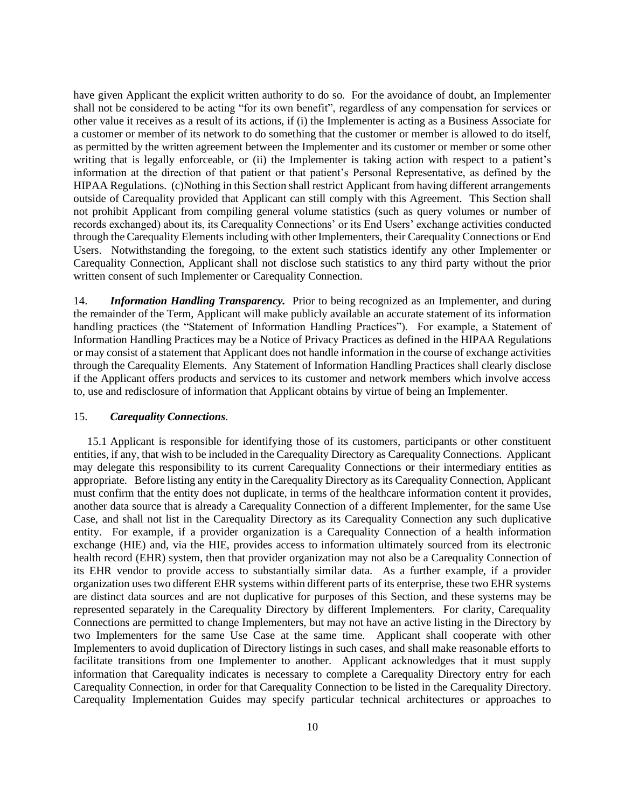have given Applicant the explicit written authority to do so. For the avoidance of doubt, an Implementer shall not be considered to be acting "for its own benefit", regardless of any compensation for services or other value it receives as a result of its actions, if (i) the Implementer is acting as a Business Associate for a customer or member of its network to do something that the customer or member is allowed to do itself, as permitted by the written agreement between the Implementer and its customer or member or some other writing that is legally enforceable, or (ii) the Implementer is taking action with respect to a patient's information at the direction of that patient or that patient's Personal Representative, as defined by the HIPAA Regulations. (c)Nothing in this Section shall restrict Applicant from having different arrangements outside of Carequality provided that Applicant can still comply with this Agreement. This Section shall not prohibit Applicant from compiling general volume statistics (such as query volumes or number of records exchanged) about its, its Carequality Connections' or its End Users' exchange activities conducted through the Carequality Elements including with other Implementers, their Carequality Connections or End Users. Notwithstanding the foregoing, to the extent such statistics identify any other Implementer or Carequality Connection, Applicant shall not disclose such statistics to any third party without the prior written consent of such Implementer or Carequality Connection.

14. *Information Handling Transparency.* Prior to being recognized as an Implementer, and during the remainder of the Term, Applicant will make publicly available an accurate statement of its information handling practices (the "Statement of Information Handling Practices"). For example, a Statement of Information Handling Practices may be a Notice of Privacy Practices as defined in the HIPAA Regulations or may consist of a statement that Applicant does not handle information in the course of exchange activities through the Carequality Elements. Any Statement of Information Handling Practices shall clearly disclose if the Applicant offers products and services to its customer and network members which involve access to, use and redisclosure of information that Applicant obtains by virtue of being an Implementer.

#### 15. *Carequality Connections*.

15.1 Applicant is responsible for identifying those of its customers, participants or other constituent entities, if any, that wish to be included in the Carequality Directory as Carequality Connections. Applicant may delegate this responsibility to its current Carequality Connections or their intermediary entities as appropriate. Before listing any entity in the Carequality Directory as its Carequality Connection, Applicant must confirm that the entity does not duplicate, in terms of the healthcare information content it provides, another data source that is already a Carequality Connection of a different Implementer, for the same Use Case, and shall not list in the Carequality Directory as its Carequality Connection any such duplicative entity. For example, if a provider organization is a Carequality Connection of a health information exchange (HIE) and, via the HIE, provides access to information ultimately sourced from its electronic health record (EHR) system, then that provider organization may not also be a Carequality Connection of its EHR vendor to provide access to substantially similar data. As a further example, if a provider organization uses two different EHR systems within different parts of its enterprise, these two EHR systems are distinct data sources and are not duplicative for purposes of this Section, and these systems may be represented separately in the Carequality Directory by different Implementers. For clarity, Carequality Connections are permitted to change Implementers, but may not have an active listing in the Directory by two Implementers for the same Use Case at the same time. Applicant shall cooperate with other Implementers to avoid duplication of Directory listings in such cases, and shall make reasonable efforts to facilitate transitions from one Implementer to another. Applicant acknowledges that it must supply information that Carequality indicates is necessary to complete a Carequality Directory entry for each Carequality Connection, in order for that Carequality Connection to be listed in the Carequality Directory. Carequality Implementation Guides may specify particular technical architectures or approaches to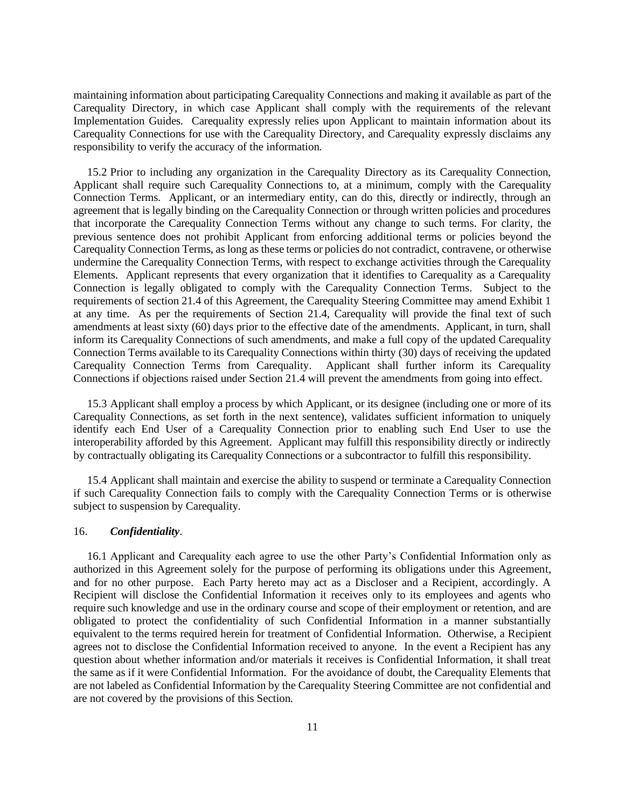maintaining information about participating Carequality Connections and making it available as part of the Carequality Directory, in which case Applicant shall comply with the requirements of the relevant Implementation Guides. Carequality expressly relies upon Applicant to maintain information about its Carequality Connections for use with the Carequality Directory, and Carequality expressly disclaims any responsibility to verify the accuracy of the information.

15.2 Prior to including any organization in the Carequality Directory as its Carequality Connection, Applicant shall require such Carequality Connections to, at a minimum, comply with the Carequality Connection Terms. Applicant, or an intermediary entity, can do this, directly or indirectly, through an agreement that is legally binding on the Carequality Connection or through written policies and procedures that incorporate the Carequality Connection Terms without any change to such terms. For clarity, the previous sentence does not prohibit Applicant from enforcing additional terms or policies beyond the Carequality Connection Terms, as long as these terms or policies do not contradict, contravene, or otherwise undermine the Carequality Connection Terms, with respect to exchange activities through the Carequality Elements. Applicant represents that every organization that it identifies to Carequality as a Carequality Connection is legally obligated to comply with the Carequality Connection Terms. Subject to the requirements of section 21.4 of this Agreement, the Carequality Steering Committee may amend Exhibit 1 at any time. As per the requirements of Section 21.4, Carequality will provide the final text of such amendments at least sixty (60) days prior to the effective date of the amendments. Applicant, in turn, shall inform its Carequality Connections of such amendments, and make a full copy of the updated Carequality Connection Terms available to its Carequality Connections within thirty (30) days of receiving the updated Carequality Connection Terms from Carequality. Applicant shall further inform its Carequality Connections if objections raised under Section 21.4 will prevent the amendments from going into effect.

15.3 Applicant shall employ a process by which Applicant, or its designee (including one or more of its Carequality Connections, as set forth in the next sentence), validates sufficient information to uniquely identify each End User of a Carequality Connection prior to enabling such End User to use the interoperability afforded by this Agreement. Applicant may fulfill this responsibility directly or indirectly by contractually obligating its Carequality Connections or a subcontractor to fulfill this responsibility.

15.4 Applicant shall maintain and exercise the ability to suspend or terminate a Carequality Connection if such Carequality Connection fails to comply with the Carequality Connection Terms or is otherwise subject to suspension by Carequality.

#### 16. *Confidentiality*.

16.1 Applicant and Carequality each agree to use the other Party's Confidential Information only as authorized in this Agreement solely for the purpose of performing its obligations under this Agreement, and for no other purpose. Each Party hereto may act as a Discloser and a Recipient, accordingly. A Recipient will disclose the Confidential Information it receives only to its employees and agents who require such knowledge and use in the ordinary course and scope of their employment or retention, and are obligated to protect the confidentiality of such Confidential Information in a manner substantially equivalent to the terms required herein for treatment of Confidential Information. Otherwise, a Recipient agrees not to disclose the Confidential Information received to anyone. In the event a Recipient has any question about whether information and/or materials it receives is Confidential Information, it shall treat the same as if it were Confidential Information. For the avoidance of doubt, the Carequality Elements that are not labeled as Confidential Information by the Carequality Steering Committee are not confidential and are not covered by the provisions of this Section.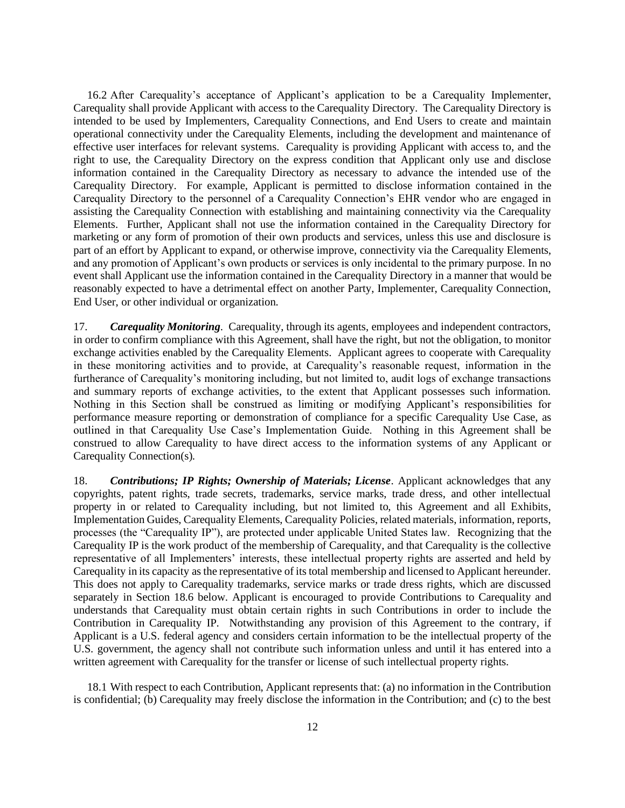16.2 After Carequality's acceptance of Applicant's application to be a Carequality Implementer, Carequality shall provide Applicant with access to the Carequality Directory. The Carequality Directory is intended to be used by Implementers, Carequality Connections, and End Users to create and maintain operational connectivity under the Carequality Elements, including the development and maintenance of effective user interfaces for relevant systems. Carequality is providing Applicant with access to, and the right to use, the Carequality Directory on the express condition that Applicant only use and disclose information contained in the Carequality Directory as necessary to advance the intended use of the Carequality Directory. For example, Applicant is permitted to disclose information contained in the Carequality Directory to the personnel of a Carequality Connection's EHR vendor who are engaged in assisting the Carequality Connection with establishing and maintaining connectivity via the Carequality Elements. Further, Applicant shall not use the information contained in the Carequality Directory for marketing or any form of promotion of their own products and services, unless this use and disclosure is part of an effort by Applicant to expand, or otherwise improve, connectivity via the Carequality Elements, and any promotion of Applicant's own products or services is only incidental to the primary purpose. In no event shall Applicant use the information contained in the Carequality Directory in a manner that would be reasonably expected to have a detrimental effect on another Party, Implementer, Carequality Connection, End User, or other individual or organization.

17. *Carequality Monitoring*. Carequality, through its agents, employees and independent contractors, in order to confirm compliance with this Agreement, shall have the right, but not the obligation, to monitor exchange activities enabled by the Carequality Elements. Applicant agrees to cooperate with Carequality in these monitoring activities and to provide, at Carequality's reasonable request, information in the furtherance of Carequality's monitoring including, but not limited to, audit logs of exchange transactions and summary reports of exchange activities, to the extent that Applicant possesses such information. Nothing in this Section shall be construed as limiting or modifying Applicant's responsibilities for performance measure reporting or demonstration of compliance for a specific Carequality Use Case, as outlined in that Carequality Use Case's Implementation Guide. Nothing in this Agreement shall be construed to allow Carequality to have direct access to the information systems of any Applicant or Carequality Connection(s).

18. *Contributions; IP Rights; Ownership of Materials; License*. Applicant acknowledges that any copyrights, patent rights, trade secrets, trademarks, service marks, trade dress, and other intellectual property in or related to Carequality including, but not limited to, this Agreement and all Exhibits, Implementation Guides, Carequality Elements, Carequality Policies, related materials, information, reports, processes (the "Carequality IP"), are protected under applicable United States law. Recognizing that the Carequality IP is the work product of the membership of Carequality, and that Carequality is the collective representative of all Implementers' interests, these intellectual property rights are asserted and held by Carequality in its capacity as the representative of its total membership and licensed to Applicant hereunder. This does not apply to Carequality trademarks, service marks or trade dress rights, which are discussed separately in Section 18.6 below. Applicant is encouraged to provide Contributions to Carequality and understands that Carequality must obtain certain rights in such Contributions in order to include the Contribution in Carequality IP. Notwithstanding any provision of this Agreement to the contrary, if Applicant is a U.S. federal agency and considers certain information to be the intellectual property of the U.S. government, the agency shall not contribute such information unless and until it has entered into a written agreement with Carequality for the transfer or license of such intellectual property rights.

18.1 With respect to each Contribution, Applicant represents that: (a) no information in the Contribution is confidential; (b) Carequality may freely disclose the information in the Contribution; and (c) to the best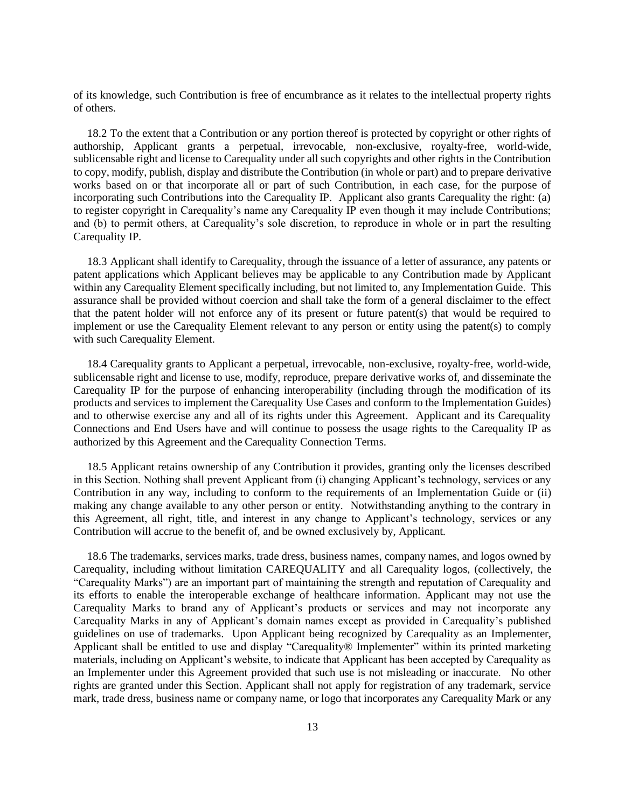of its knowledge, such Contribution is free of encumbrance as it relates to the intellectual property rights of others.

18.2 To the extent that a Contribution or any portion thereof is protected by copyright or other rights of authorship, Applicant grants a perpetual, irrevocable, non-exclusive, royalty-free, world-wide, sublicensable right and license to Carequality under all such copyrights and other rights in the Contribution to copy, modify, publish, display and distribute the Contribution (in whole or part) and to prepare derivative works based on or that incorporate all or part of such Contribution, in each case, for the purpose of incorporating such Contributions into the Carequality IP. Applicant also grants Carequality the right: (a) to register copyright in Carequality's name any Carequality IP even though it may include Contributions; and (b) to permit others, at Carequality's sole discretion, to reproduce in whole or in part the resulting Carequality IP.

18.3 Applicant shall identify to Carequality, through the issuance of a letter of assurance, any patents or patent applications which Applicant believes may be applicable to any Contribution made by Applicant within any Carequality Element specifically including, but not limited to, any Implementation Guide. This assurance shall be provided without coercion and shall take the form of a general disclaimer to the effect that the patent holder will not enforce any of its present or future patent(s) that would be required to implement or use the Carequality Element relevant to any person or entity using the patent(s) to comply with such Carequality Element.

18.4 Carequality grants to Applicant a perpetual, irrevocable, non-exclusive, royalty-free, world-wide, sublicensable right and license to use, modify, reproduce, prepare derivative works of, and disseminate the Carequality IP for the purpose of enhancing interoperability (including through the modification of its products and services to implement the Carequality Use Cases and conform to the Implementation Guides) and to otherwise exercise any and all of its rights under this Agreement. Applicant and its Carequality Connections and End Users have and will continue to possess the usage rights to the Carequality IP as authorized by this Agreement and the Carequality Connection Terms.

18.5 Applicant retains ownership of any Contribution it provides, granting only the licenses described in this Section. Nothing shall prevent Applicant from (i) changing Applicant's technology, services or any Contribution in any way, including to conform to the requirements of an Implementation Guide or (ii) making any change available to any other person or entity. Notwithstanding anything to the contrary in this Agreement, all right, title, and interest in any change to Applicant's technology, services or any Contribution will accrue to the benefit of, and be owned exclusively by, Applicant.

18.6 The trademarks, services marks, trade dress, business names, company names, and logos owned by Carequality, including without limitation CAREQUALITY and all Carequality logos, (collectively, the "Carequality Marks") are an important part of maintaining the strength and reputation of Carequality and its efforts to enable the interoperable exchange of healthcare information. Applicant may not use the Carequality Marks to brand any of Applicant's products or services and may not incorporate any Carequality Marks in any of Applicant's domain names except as provided in Carequality's published guidelines on use of trademarks. Upon Applicant being recognized by Carequality as an Implementer, Applicant shall be entitled to use and display "Carequality® Implementer" within its printed marketing materials, including on Applicant's website, to indicate that Applicant has been accepted by Carequality as an Implementer under this Agreement provided that such use is not misleading or inaccurate. No other rights are granted under this Section. Applicant shall not apply for registration of any trademark, service mark, trade dress, business name or company name, or logo that incorporates any Carequality Mark or any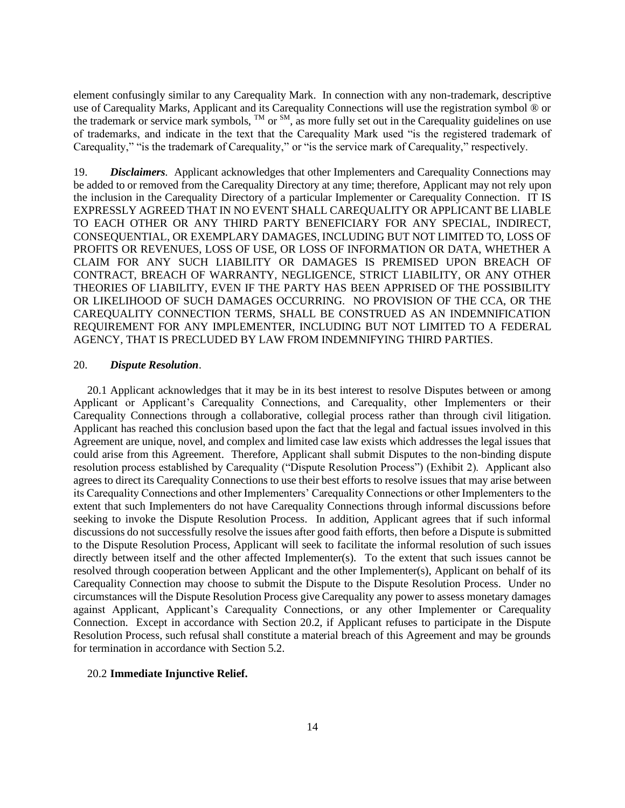element confusingly similar to any Carequality Mark. In connection with any non-trademark, descriptive use of Carequality Marks, Applicant and its Carequality Connections will use the registration symbol ® or the trademark or service mark symbols,  $^{TM}$  or  $^{SM}$ , as more fully set out in the Carequality guidelines on use of trademarks, and indicate in the text that the Carequality Mark used "is the registered trademark of Carequality," "is the trademark of Carequality," or "is the service mark of Carequality," respectively.

19. *Disclaimers*. Applicant acknowledges that other Implementers and Carequality Connections may be added to or removed from the Carequality Directory at any time; therefore, Applicant may not rely upon the inclusion in the Carequality Directory of a particular Implementer or Carequality Connection. IT IS EXPRESSLY AGREED THAT IN NO EVENT SHALL CAREQUALITY OR APPLICANT BE LIABLE TO EACH OTHER OR ANY THIRD PARTY BENEFICIARY FOR ANY SPECIAL, INDIRECT, CONSEQUENTIAL, OR EXEMPLARY DAMAGES, INCLUDING BUT NOT LIMITED TO, LOSS OF PROFITS OR REVENUES, LOSS OF USE, OR LOSS OF INFORMATION OR DATA, WHETHER A CLAIM FOR ANY SUCH LIABILITY OR DAMAGES IS PREMISED UPON BREACH OF CONTRACT, BREACH OF WARRANTY, NEGLIGENCE, STRICT LIABILITY, OR ANY OTHER THEORIES OF LIABILITY, EVEN IF THE PARTY HAS BEEN APPRISED OF THE POSSIBILITY OR LIKELIHOOD OF SUCH DAMAGES OCCURRING. NO PROVISION OF THE CCA, OR THE CAREQUALITY CONNECTION TERMS, SHALL BE CONSTRUED AS AN INDEMNIFICATION REQUIREMENT FOR ANY IMPLEMENTER, INCLUDING BUT NOT LIMITED TO A FEDERAL AGENCY, THAT IS PRECLUDED BY LAW FROM INDEMNIFYING THIRD PARTIES.

### 20. *Dispute Resolution*.

20.1 Applicant acknowledges that it may be in its best interest to resolve Disputes between or among Applicant or Applicant's Carequality Connections, and Carequality, other Implementers or their Carequality Connections through a collaborative, collegial process rather than through civil litigation. Applicant has reached this conclusion based upon the fact that the legal and factual issues involved in this Agreement are unique, novel, and complex and limited case law exists which addresses the legal issues that could arise from this Agreement. Therefore, Applicant shall submit Disputes to the non-binding dispute resolution process established by Carequality ("Dispute Resolution Process") (Exhibit 2). Applicant also agrees to direct its Carequality Connections to use their best efforts to resolve issues that may arise between its Carequality Connections and other Implementers' Carequality Connections or other Implementers to the extent that such Implementers do not have Carequality Connections through informal discussions before seeking to invoke the Dispute Resolution Process. In addition, Applicant agrees that if such informal discussions do not successfully resolve the issues after good faith efforts, then before a Dispute is submitted to the Dispute Resolution Process, Applicant will seek to facilitate the informal resolution of such issues directly between itself and the other affected Implementer(s). To the extent that such issues cannot be resolved through cooperation between Applicant and the other Implementer(s), Applicant on behalf of its Carequality Connection may choose to submit the Dispute to the Dispute Resolution Process. Under no circumstances will the Dispute Resolution Process give Carequality any power to assess monetary damages against Applicant, Applicant's Carequality Connections, or any other Implementer or Carequality Connection. Except in accordance with Section 20.2, if Applicant refuses to participate in the Dispute Resolution Process, such refusal shall constitute a material breach of this Agreement and may be grounds for termination in accordance with Section 5.2.

### 20.2 **Immediate Injunctive Relief.**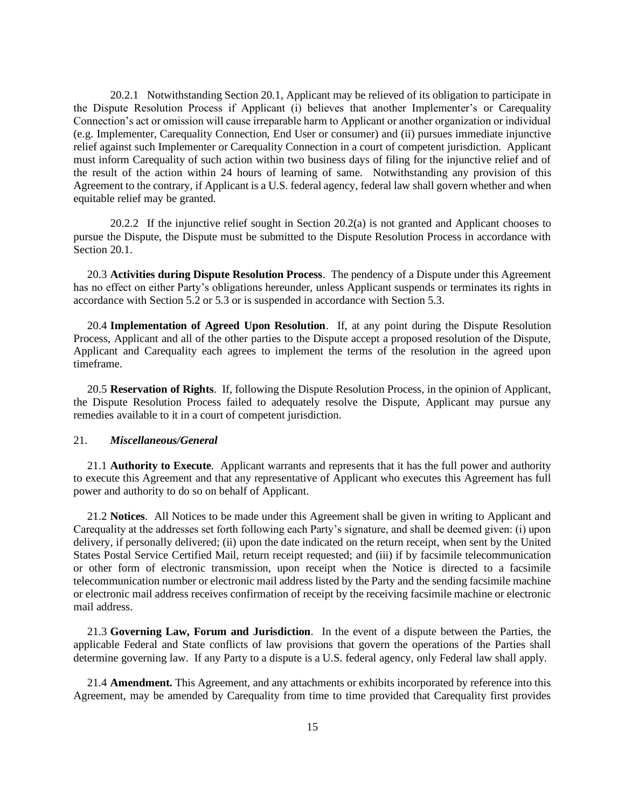20.2.1 Notwithstanding Section 20.1, Applicant may be relieved of its obligation to participate in the Dispute Resolution Process if Applicant (i) believes that another Implementer's or Carequality Connection's act or omission will cause irreparable harm to Applicant or another organization or individual (e.g. Implementer, Carequality Connection, End User or consumer) and (ii) pursues immediate injunctive relief against such Implementer or Carequality Connection in a court of competent jurisdiction. Applicant must inform Carequality of such action within two business days of filing for the injunctive relief and of the result of the action within 24 hours of learning of same. Notwithstanding any provision of this Agreement to the contrary, if Applicant is a U.S. federal agency, federal law shall govern whether and when equitable relief may be granted.

20.2.2 If the injunctive relief sought in Section 20.2(a) is not granted and Applicant chooses to pursue the Dispute, the Dispute must be submitted to the Dispute Resolution Process in accordance with Section 20.1.

20.3 **Activities during Dispute Resolution Process**. The pendency of a Dispute under this Agreement has no effect on either Party's obligations hereunder, unless Applicant suspends or terminates its rights in accordance with Section 5.2 or 5.3 or is suspended in accordance with Section 5.3.

20.4 **Implementation of Agreed Upon Resolution**. If, at any point during the Dispute Resolution Process, Applicant and all of the other parties to the Dispute accept a proposed resolution of the Dispute, Applicant and Carequality each agrees to implement the terms of the resolution in the agreed upon timeframe.

20.5 **Reservation of Rights**. If, following the Dispute Resolution Process, in the opinion of Applicant, the Dispute Resolution Process failed to adequately resolve the Dispute, Applicant may pursue any remedies available to it in a court of competent jurisdiction.

## 21. *Miscellaneous/General*

21.1 **Authority to Execute**. Applicant warrants and represents that it has the full power and authority to execute this Agreement and that any representative of Applicant who executes this Agreement has full power and authority to do so on behalf of Applicant.

21.2 **Notices**. All Notices to be made under this Agreement shall be given in writing to Applicant and Carequality at the addresses set forth following each Party's signature, and shall be deemed given: (i) upon delivery, if personally delivered; (ii) upon the date indicated on the return receipt, when sent by the United States Postal Service Certified Mail, return receipt requested; and (iii) if by facsimile telecommunication or other form of electronic transmission, upon receipt when the Notice is directed to a facsimile telecommunication number or electronic mail address listed by the Party and the sending facsimile machine or electronic mail address receives confirmation of receipt by the receiving facsimile machine or electronic mail address.

21.3 **Governing Law, Forum and Jurisdiction**. In the event of a dispute between the Parties, the applicable Federal and State conflicts of law provisions that govern the operations of the Parties shall determine governing law. If any Party to a dispute is a U.S. federal agency, only Federal law shall apply.

21.4 **Amendment.** This Agreement, and any attachments or exhibits incorporated by reference into this Agreement, may be amended by Carequality from time to time provided that Carequality first provides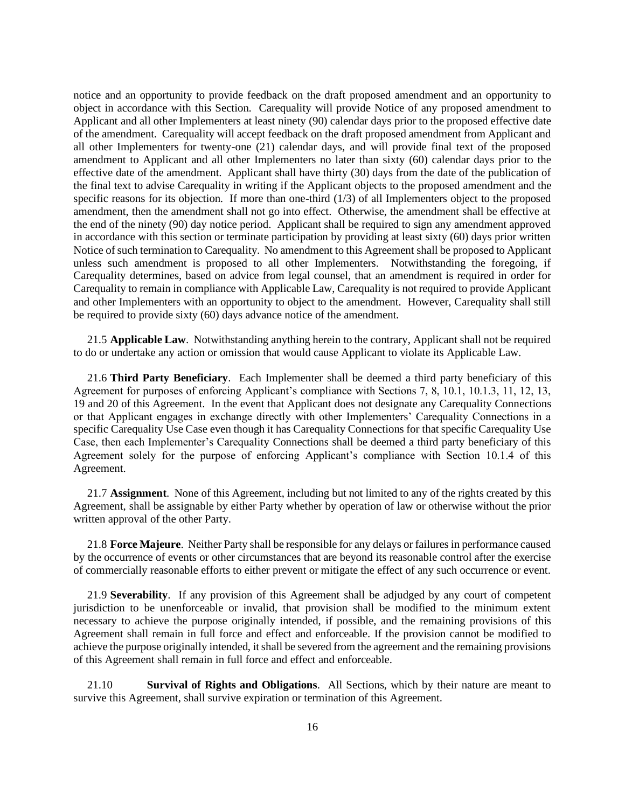notice and an opportunity to provide feedback on the draft proposed amendment and an opportunity to object in accordance with this Section. Carequality will provide Notice of any proposed amendment to Applicant and all other Implementers at least ninety (90) calendar days prior to the proposed effective date of the amendment. Carequality will accept feedback on the draft proposed amendment from Applicant and all other Implementers for twenty-one (21) calendar days, and will provide final text of the proposed amendment to Applicant and all other Implementers no later than sixty (60) calendar days prior to the effective date of the amendment. Applicant shall have thirty (30) days from the date of the publication of the final text to advise Carequality in writing if the Applicant objects to the proposed amendment and the specific reasons for its objection. If more than one-third (1/3) of all Implementers object to the proposed amendment, then the amendment shall not go into effect. Otherwise, the amendment shall be effective at the end of the ninety (90) day notice period. Applicant shall be required to sign any amendment approved in accordance with this section or terminate participation by providing at least sixty (60) days prior written Notice of such termination to Carequality. No amendment to this Agreement shall be proposed to Applicant unless such amendment is proposed to all other Implementers. Notwithstanding the foregoing, if Carequality determines, based on advice from legal counsel, that an amendment is required in order for Carequality to remain in compliance with Applicable Law, Carequality is not required to provide Applicant and other Implementers with an opportunity to object to the amendment. However, Carequality shall still be required to provide sixty (60) days advance notice of the amendment.

21.5 **Applicable Law**. Notwithstanding anything herein to the contrary, Applicant shall not be required to do or undertake any action or omission that would cause Applicant to violate its Applicable Law.

21.6 **Third Party Beneficiary**. Each Implementer shall be deemed a third party beneficiary of this Agreement for purposes of enforcing Applicant's compliance with Sections 7, 8, 10.1, 10.1.3, 11, 12, 13, 19 and 20 of this Agreement. In the event that Applicant does not designate any Carequality Connections or that Applicant engages in exchange directly with other Implementers' Carequality Connections in a specific Carequality Use Case even though it has Carequality Connections for that specific Carequality Use Case, then each Implementer's Carequality Connections shall be deemed a third party beneficiary of this Agreement solely for the purpose of enforcing Applicant's compliance with Section 10.1.4 of this Agreement.

21.7 **Assignment**. None of this Agreement, including but not limited to any of the rights created by this Agreement, shall be assignable by either Party whether by operation of law or otherwise without the prior written approval of the other Party.

21.8 **Force Majeure**. Neither Party shall be responsible for any delays or failures in performance caused by the occurrence of events or other circumstances that are beyond its reasonable control after the exercise of commercially reasonable efforts to either prevent or mitigate the effect of any such occurrence or event.

21.9 **Severability**. If any provision of this Agreement shall be adjudged by any court of competent jurisdiction to be unenforceable or invalid, that provision shall be modified to the minimum extent necessary to achieve the purpose originally intended, if possible, and the remaining provisions of this Agreement shall remain in full force and effect and enforceable. If the provision cannot be modified to achieve the purpose originally intended, it shall be severed from the agreement and the remaining provisions of this Agreement shall remain in full force and effect and enforceable.

21.10 **Survival of Rights and Obligations**. All Sections, which by their nature are meant to survive this Agreement, shall survive expiration or termination of this Agreement.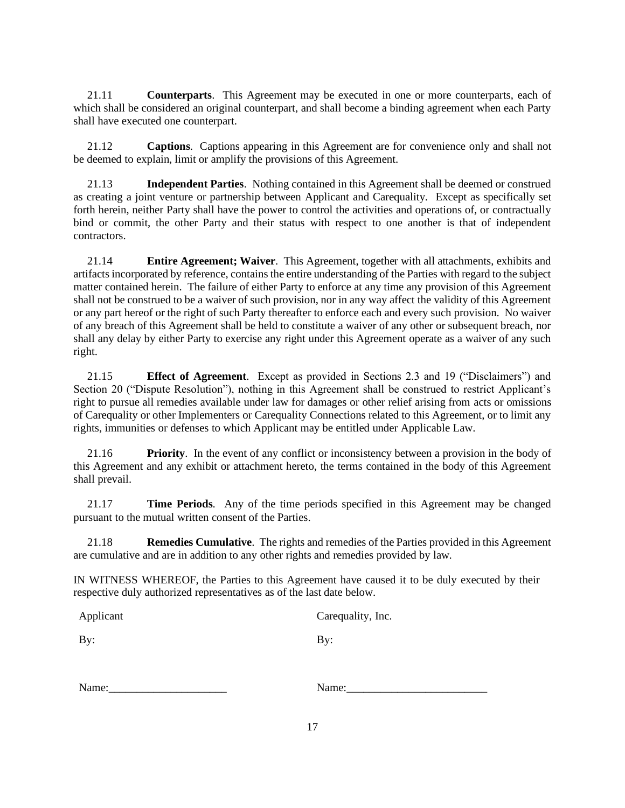21.11 **Counterparts**. This Agreement may be executed in one or more counterparts, each of which shall be considered an original counterpart, and shall become a binding agreement when each Party shall have executed one counterpart.

21.12 **Captions**. Captions appearing in this Agreement are for convenience only and shall not be deemed to explain, limit or amplify the provisions of this Agreement.

21.13 **Independent Parties**. Nothing contained in this Agreement shall be deemed or construed as creating a joint venture or partnership between Applicant and Carequality. Except as specifically set forth herein, neither Party shall have the power to control the activities and operations of, or contractually bind or commit, the other Party and their status with respect to one another is that of independent contractors.

21.14 **Entire Agreement; Waiver**. This Agreement, together with all attachments, exhibits and artifacts incorporated by reference, contains the entire understanding of the Parties with regard to the subject matter contained herein. The failure of either Party to enforce at any time any provision of this Agreement shall not be construed to be a waiver of such provision, nor in any way affect the validity of this Agreement or any part hereof or the right of such Party thereafter to enforce each and every such provision. No waiver of any breach of this Agreement shall be held to constitute a waiver of any other or subsequent breach, nor shall any delay by either Party to exercise any right under this Agreement operate as a waiver of any such right.

21.15 **Effect of Agreement**. Except as provided in Sections 2.3 and 19 ("Disclaimers") and Section 20 ("Dispute Resolution"), nothing in this Agreement shall be construed to restrict Applicant's right to pursue all remedies available under law for damages or other relief arising from acts or omissions of Carequality or other Implementers or Carequality Connections related to this Agreement, or to limit any rights, immunities or defenses to which Applicant may be entitled under Applicable Law.

21.16 **Priority**. In the event of any conflict or inconsistency between a provision in the body of this Agreement and any exhibit or attachment hereto, the terms contained in the body of this Agreement shall prevail.

21.17 **Time Periods**. Any of the time periods specified in this Agreement may be changed pursuant to the mutual written consent of the Parties.

21.18 **Remedies Cumulative**. The rights and remedies of the Parties provided in this Agreement are cumulative and are in addition to any other rights and remedies provided by law.

IN WITNESS WHEREOF, the Parties to this Agreement have caused it to be duly executed by their respective duly authorized representatives as of the last date below.

Applicant Carequality, Inc.

By: By:

| Name: |  |
|-------|--|
|       |  |

Name:\_\_\_\_\_\_\_\_\_\_\_\_\_\_\_\_\_\_\_\_\_ Name:\_\_\_\_\_\_\_\_\_\_\_\_\_\_\_\_\_\_\_\_\_\_\_\_\_